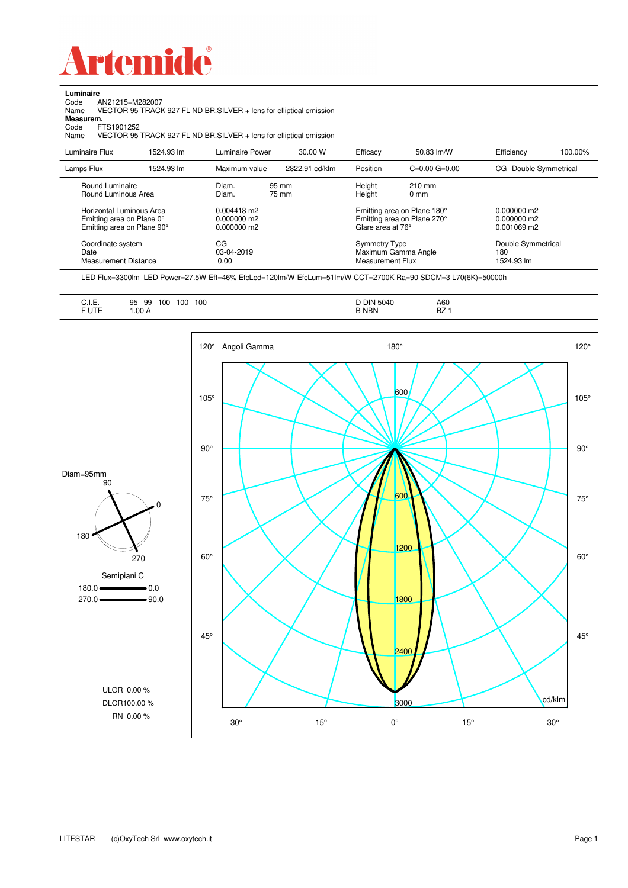

Code AN21215+M282007 Name VECTOR 95 TRACK 927 FL ND BR.SILVER + lens for elliptical emission

**Luminaire**<br>Code *A*<br>Name \

**Measurem.**

| Code<br>Name   | FTS1901252                                                                          |            |                                           | VECTOR 95 TRACK 927 FL ND BR.SILVER + lens for elliptical emission |                                                                        |                                                            |                                             |         |
|----------------|-------------------------------------------------------------------------------------|------------|-------------------------------------------|--------------------------------------------------------------------|------------------------------------------------------------------------|------------------------------------------------------------|---------------------------------------------|---------|
| Luminaire Flux |                                                                                     | 1524.93 lm | Luminaire Power                           | 30.00 W                                                            | Efficacy                                                               | 50.83 lm/W                                                 | Efficiency                                  | 100.00% |
| Lamps Flux     |                                                                                     | 1524.93 lm | Maximum value                             | 2822.91 cd/klm                                                     | Position                                                               | $C=0.00$ $G=0.00$                                          | CG Double Symmetrical                       |         |
|                | Round Luminaire<br>Round Luminous Area                                              |            | Diam.<br>Diam.                            | 95 mm<br>75 mm                                                     | Height<br>Height                                                       | $210$ mm<br>$0 \text{ mm}$                                 |                                             |         |
|                | Horizontal Luminous Area<br>Emitting area on Plane 0°<br>Emitting area on Plane 90° |            | 0.004418 m2<br>0.000000 m2<br>0.000000 m2 |                                                                    | Glare area at 76°                                                      | Emitting area on Plane 180°<br>Emitting area on Plane 270° | $0.000000$ m2<br>0.000000 m2<br>0.001069 m2 |         |
| Date           | Coordinate system<br><b>Measurement Distance</b>                                    |            | СG<br>03-04-2019<br>0.00                  |                                                                    | <b>Symmetry Type</b><br>Maximum Gamma Angle<br><b>Measurement Flux</b> |                                                            | Double Symmetrical<br>180<br>1524.93 lm     |         |

LED Flux=3300lm LED Power=27.5W Eff=46% EfcLed=120lm/W EfcLum=51lm/W CCT=2700K Ra=90 SDCM=3 L70(6K)=50000h

| A60<br><b>DIN 5040</b><br>100<br>100<br>10C<br>ΩF<br>99<br>ັບ<br>.<br>$ -$<br><b>B NBN</b><br>דם<br>.00A<br>DZ. |
|-----------------------------------------------------------------------------------------------------------------|
|-----------------------------------------------------------------------------------------------------------------|